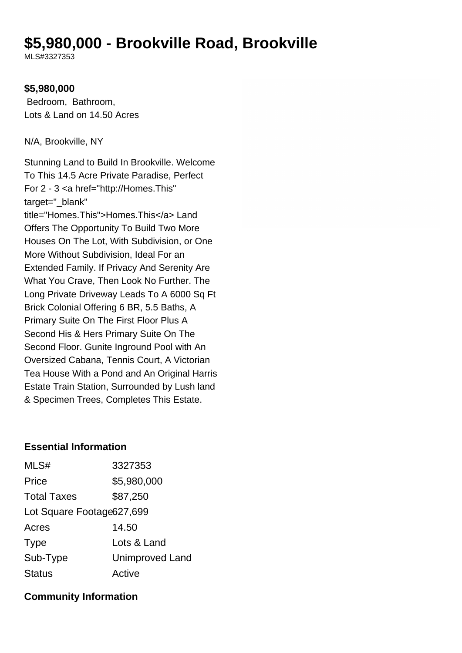# **\$5,980,000 - Brookville Road, Brookville**

MLS#3327353

#### **\$5,980,000**

 Bedroom, Bathroom, Lots & Land on 14.50 Acres

N/A, Brookville, NY

Stunning Land to Build In Brookville. Welcome To This 14.5 Acre Private Paradise, Perfect For 2 - 3 <a href="http://Homes.This" target="\_blank" title="Homes.This">Homes.This</a> Land Offers The Opportunity To Build Two More Houses On The Lot, With Subdivision, or One More Without Subdivision, Ideal For an Extended Family. If Privacy And Serenity Are What You Crave, Then Look No Further. The Long Private Driveway Leads To A 6000 Sq Ft Brick Colonial Offering 6 BR, 5.5 Baths, A Primary Suite On The First Floor Plus A Second His & Hers Primary Suite On The Second Floor. Gunite Inground Pool with An Oversized Cabana, Tennis Court, A Victorian Tea House With a Pond and An Original Harris Estate Train Station, Surrounded by Lush land & Specimen Trees, Completes This Estate.

#### **Essential Information**

| MLS#                        | 3327353                |  |
|-----------------------------|------------------------|--|
| Price                       | \$5,980,000            |  |
| <b>Total Taxes</b>          | \$87,250               |  |
| Lot Square Footage 627, 699 |                        |  |
| Acres                       | 14.50                  |  |
| <b>Type</b>                 | Lots & Land            |  |
| Sub-Type                    | <b>Unimproved Land</b> |  |
| <b>Status</b>               | Active                 |  |

#### **Community Information**